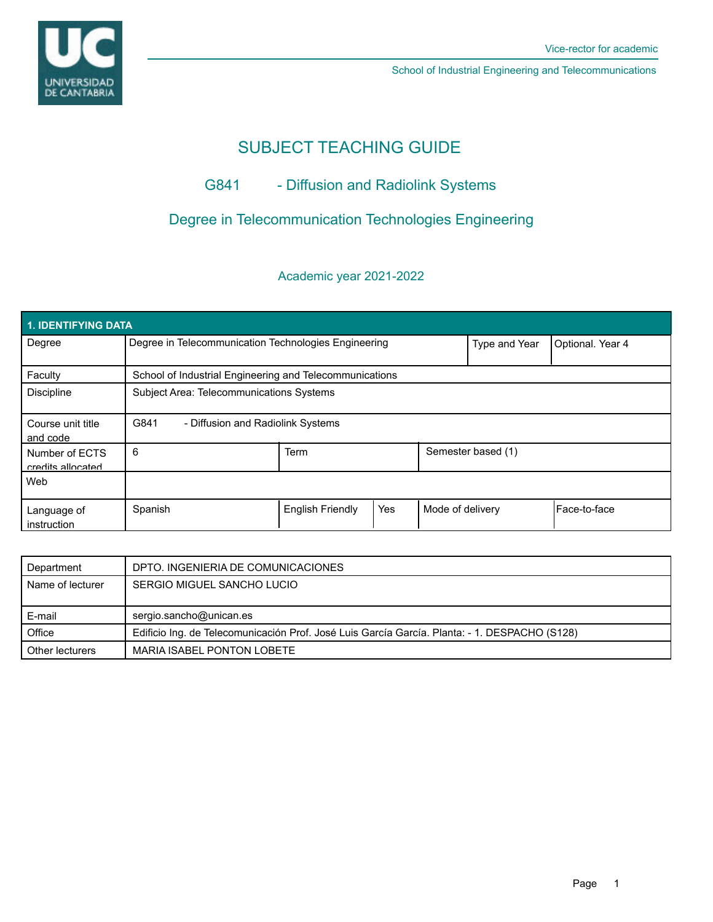

School of Industrial Engineering and Telecommunications

# SUBJECT TEACHING GUIDE

## G841 - Diffusion and Radiolink Systems

## Degree in Telecommunication Technologies Engineering

## Academic year 2021-2022

| 1. IDENTIFYING DATA                 |                                                         |                         |     |                  |                    |              |  |  |  |
|-------------------------------------|---------------------------------------------------------|-------------------------|-----|------------------|--------------------|--------------|--|--|--|
| Degree                              | Degree in Telecommunication Technologies Engineering    |                         |     | Type and Year    | Optional. Year 4   |              |  |  |  |
| Faculty                             | School of Industrial Engineering and Telecommunications |                         |     |                  |                    |              |  |  |  |
| <b>Discipline</b>                   | Subject Area: Telecommunications Systems                |                         |     |                  |                    |              |  |  |  |
| Course unit title<br>and code       | G841<br>- Diffusion and Radiolink Systems               |                         |     |                  |                    |              |  |  |  |
| Number of ECTS<br>credits allocated | 6                                                       | Term                    |     |                  | Semester based (1) |              |  |  |  |
| Web                                 |                                                         |                         |     |                  |                    |              |  |  |  |
| Language of<br>instruction          | Spanish                                                 | <b>English Friendly</b> | Yes | Mode of delivery |                    | Face-to-face |  |  |  |

| Department       | DPTO. INGENIERIA DE COMUNICACIONES                                                            |  |  |
|------------------|-----------------------------------------------------------------------------------------------|--|--|
| Name of lecturer | SERGIO MIGUEL SANCHO LUCIO                                                                    |  |  |
|                  |                                                                                               |  |  |
|                  |                                                                                               |  |  |
| E-mail           | sergio.sancho@unican.es                                                                       |  |  |
| Office           | Edificio Ing. de Telecomunicación Prof. José Luis García García. Planta: - 1. DESPACHO (S128) |  |  |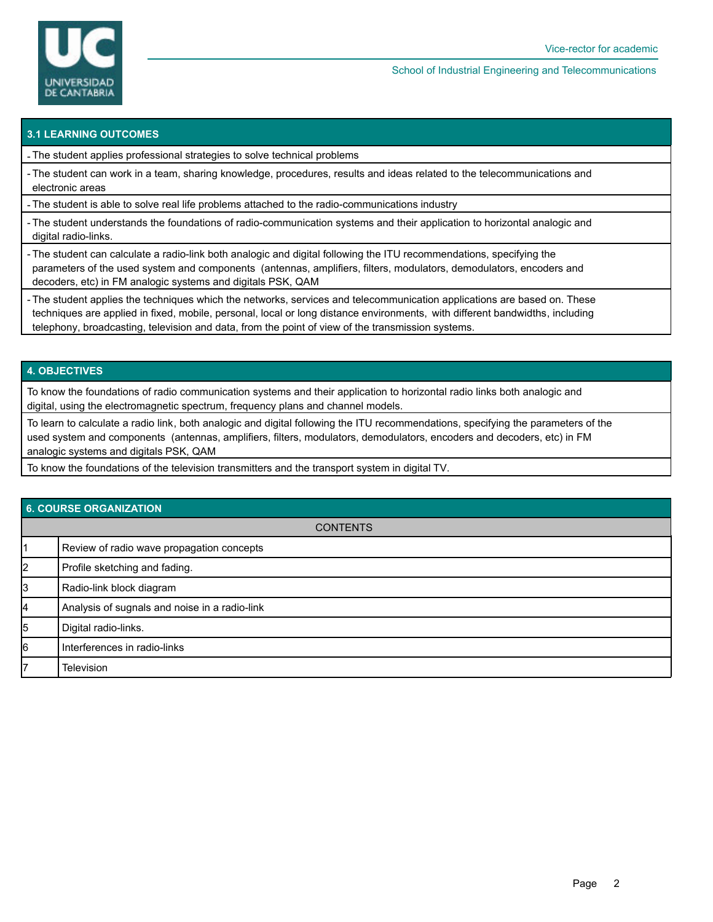

#### School of Industrial Engineering and Telecommunications

### **3.1 LEARNING OUTCOMES**

- The student applies professional strategies to solve technical problems

- The student can work in a team, sharing knowledge, procedures, results and ideas related to the telecommunications and electronic areas

- The student is able to solve real life problems attached to the radio-communications industry

- The student understands the foundations of radio-communication systems and their application to horizontal analogic and digital radio-links.

- The student can calculate a radio-link both analogic and digital following the ITU recommendations, specifying the parameters of the used system and components (antennas, amplifiers, filters, modulators, demodulators, encoders and decoders, etc) in FM analogic systems and digitals PSK, QAM

- The student applies the techniques which the networks, services and telecommunication applications are based on. These techniques are applied in fixed, mobile, personal, local or long distance environments, with different bandwidths, including telephony, broadcasting, television and data, from the point of view of the transmission systems.

### **4. OBJECTIVES**

To know the foundations of radio communication systems and their application to horizontal radio links both analogic and digital, using the electromagnetic spectrum, frequency plans and channel models.

To learn to calculate a radio link, both analogic and digital following the ITU recommendations, specifying the parameters of the used system and components (antennas, amplifiers, filters, modulators, demodulators, encoders and decoders, etc) in FM analogic systems and digitals PSK, QAM

To know the foundations of the television transmitters and the transport system in digital TV.

| 6. COURSE ORGANIZATION |                                               |  |  |  |
|------------------------|-----------------------------------------------|--|--|--|
| <b>CONTENTS</b>        |                                               |  |  |  |
|                        | Review of radio wave propagation concepts     |  |  |  |
| 2                      | Profile sketching and fading.                 |  |  |  |
| 3                      | Radio-link block diagram                      |  |  |  |
| 14                     | Analysis of sugnals and noise in a radio-link |  |  |  |
| 5                      | Digital radio-links.                          |  |  |  |
| 6                      | Interferences in radio-links                  |  |  |  |
| 17                     | <b>Television</b>                             |  |  |  |